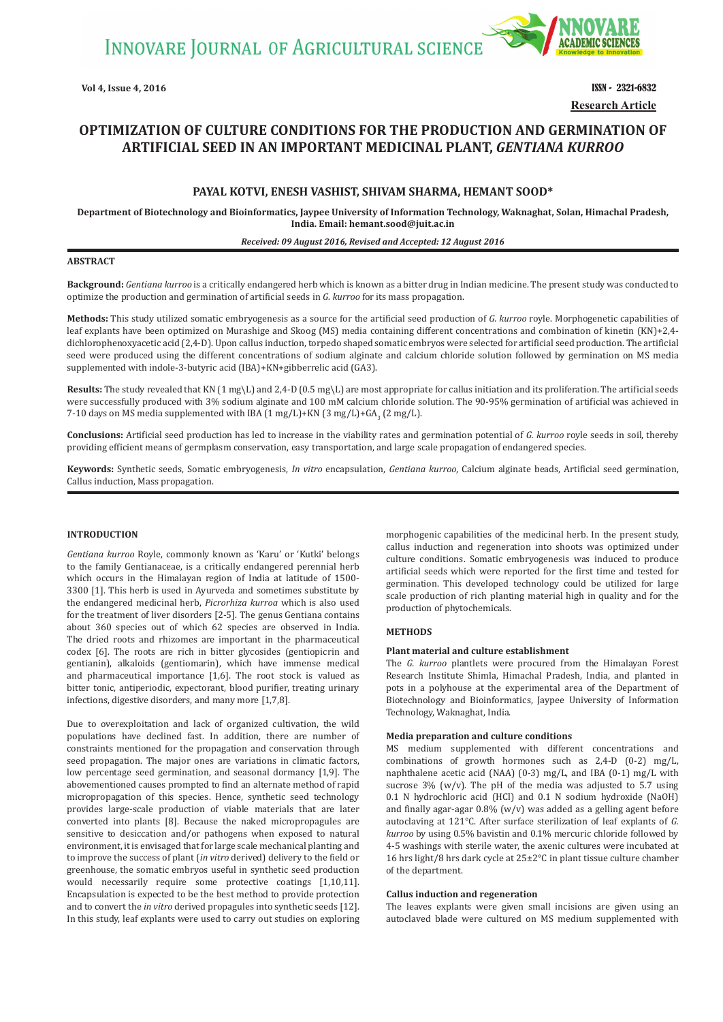

**Vol 4, Issue 4, 2016** ISSN - 2321-6832 **Research Article**

# **OPTIMIZATION OF CULTURE CONDITIONS FOR THE PRODUCTION AND GERMINATION OF ARTIFICIAL SEED IN AN IMPORTANT MEDICINAL PLANT,** *GENTIANA KURROO*

## **PAYAL KOTVI, ENESH VASHIST, SHIVAM SHARMA, HEMANT SOOD\***

**Department of Biotechnology and Bioinformatics, Jaypee University of Information Technology, Waknaghat, Solan, Himachal Pradesh, India. Email: hemant.sood@juit.ac.in**

#### *Received: 09 August 2016, Revised and Accepted: 12 August 2016*

## **ABSTRACT**

**Background:** *Gentiana kurroo* is a critically endangered herb which is known as a bitter drug in Indian medicine. The present study was conducted to optimize the production and germination of artificial seeds in *G. kurroo* for its mass propagation.

**Methods:** This study utilized somatic embryogenesis as a source for the artificial seed production of *G. kurroo* royle. Morphogenetic capabilities of leaf explants have been optimized on Murashige and Skoog (MS) media containing different concentrations and combination of kinetin (KN)+2,4 dichlorophenoxyacetic acid (2,4-D). Upon callus induction, torpedo shaped somatic embryos were selected for artificial seed production. The artificial seed were produced using the different concentrations of sodium alginate and calcium chloride solution followed by germination on MS media supplemented with indole-3-butyric acid (IBA)+KN+gibberrelic acid (GA3).

**Results:** The study revealed that KN (1 mg\L) and 2,4-D (0.5 mg\L) are most appropriate for callus initiation and its proliferation. The artificial seeds were successfully produced with 3% sodium alginate and 100 mM calcium chloride solution. The 90-95% germination of artificial was achieved in 7-10 days on MS media supplemented with IBA  $(1 \text{ mg/L})+KN (3 \text{ mg/L})+GA_3 (2 \text{ mg/L}).$ 

**Conclusions:** Artificial seed production has led to increase in the viability rates and germination potential of *G. kurroo* royle seeds in soil, thereby providing efficient means of germplasm conservation, easy transportation, and large scale propagation of endangered species.

**Keywords:** Synthetic seeds, Somatic embryogenesis, *In vitro* encapsulation, *Gentiana kurroo*, Calcium alginate beads, Artificial seed germination, Callus induction, Mass propagation.

## **INTRODUCTION**

*Gentiana kurroo* Royle, commonly known as 'Karu' or 'Kutki' belongs to the family Gentianaceae, is a critically endangered perennial herb which occurs in the Himalayan region of India at latitude of 1500- 3300 [1]. This herb is used in Ayurveda and sometimes substitute by the endangered medicinal herb, *Picrorhiza kurroa* which is also used for the treatment of liver disorders [2-5]. The genus Gentiana contains about 360 species out of which 62 species are observed in India. The dried roots and rhizomes are important in the pharmaceutical codex [6]. The roots are rich in bitter glycosides (gentiopicrin and gentianin), alkaloids (gentiomarin), which have immense medical and pharmaceutical importance [1,6]. The root stock is valued as bitter tonic, antiperiodic, expectorant, blood purifier, treating urinary infections, digestive disorders, and many more [1,7,8].

Due to overexploitation and lack of organized cultivation, the wild populations have declined fast. In addition, there are number of constraints mentioned for the propagation and conservation through seed propagation. The major ones are variations in climatic factors, low percentage seed germination, and seasonal dormancy [1,9]. The abovementioned causes prompted to find an alternate method of rapid micropropagation of this species. Hence, synthetic seed technology provides large-scale production of viable materials that are later converted into plants [8]. Because the naked micropropagules are sensitive to desiccation and/or pathogens when exposed to natural environment, it is envisaged that for large scale mechanical planting and to improve the success of plant (*in vitro* derived) delivery to the field or greenhouse, the somatic embryos useful in synthetic seed production would necessarily require some protective coatings [1,10,11]. Encapsulation is expected to be the best method to provide protection and to convert the *in vitro* derived propagules into synthetic seeds [12]. In this study, leaf explants were used to carry out studies on exploring morphogenic capabilities of the medicinal herb. In the present study, callus induction and regeneration into shoots was optimized under culture conditions. Somatic embryogenesis was induced to produce artificial seeds which were reported for the first time and tested for germination. This developed technology could be utilized for large scale production of rich planting material high in quality and for the production of phytochemicals.

## **METHODS**

## **Plant material and culture establishment**

The *G. kurroo* plantlets were procured from the Himalayan Forest Research Institute Shimla, Himachal Pradesh, India, and planted in pots in a polyhouse at the experimental area of the Department of Biotechnology and Bioinformatics, Jaypee University of Information Technology, Waknaghat, India.

## **Media preparation and culture conditions**

MS medium supplemented with different concentrations and combinations of growth hormones such as 2,4-D (0-2) mg/L, naphthalene acetic acid (NAA) (0-3) mg/L, and IBA (0-1) mg/L with sucrose  $3\%$  (w/v). The pH of the media was adjusted to 5.7 using 0.1 N hydrochloric acid (HCl) and 0.1 N sodium hydroxide (NaOH) and finally agar-agar 0.8% (w/v) was added as a gelling agent before autoclaving at 121°C. After surface sterilization of leaf explants of *G. kurroo* by using 0.5% bavistin and 0.1% mercuric chloride followed by 4-5 washings with sterile water, the axenic cultures were incubated at 16 hrs light/8 hrs dark cycle at 25±2°C in plant tissue culture chamber of the department.

## **Callus induction and regeneration**

The leaves explants were given small incisions are given using an autoclaved blade were cultured on MS medium supplemented with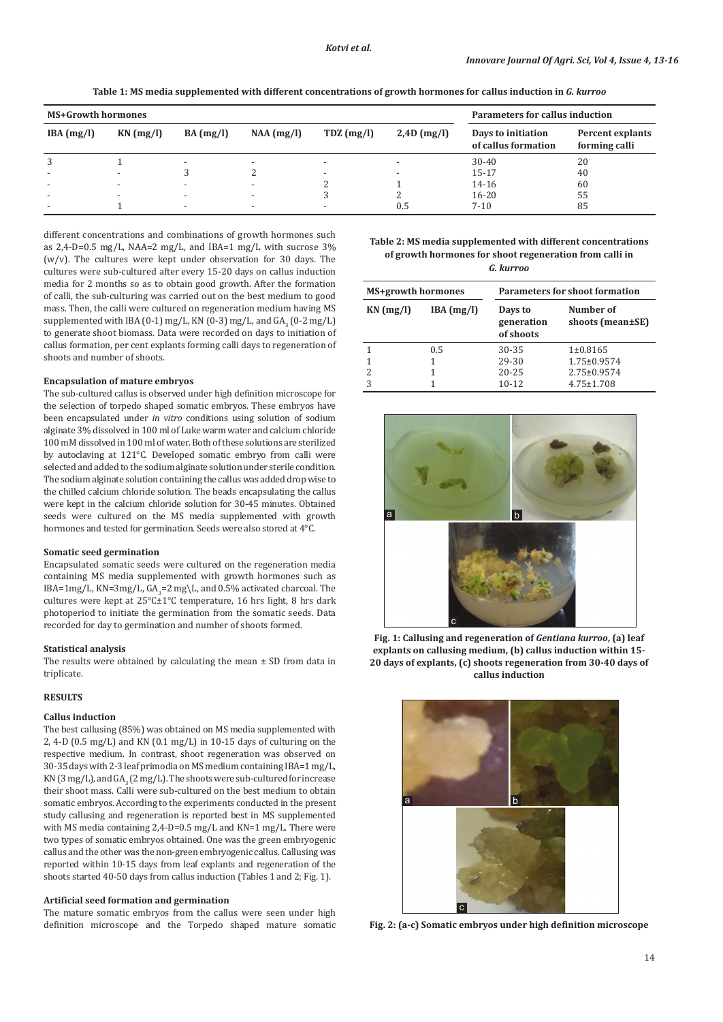**Table 1: MS media supplemented with different concentrations of growth hormones for callus induction in** *G. kurroo*

| <b>MS+Growth hormones</b> |                          |                          |                          |                          | Parameters for callus induction |                                           |                                   |
|---------------------------|--------------------------|--------------------------|--------------------------|--------------------------|---------------------------------|-------------------------------------------|-----------------------------------|
| IBA (mg/l)                | $KN$ (mg/l)              | BA (mg/l)                | $NAA$ (mg/l)             | $TDZ$ (mg/l)             | $2,4D$ (mg/l)                   | Days to initiation<br>of callus formation | Percent explants<br>forming calli |
| 3                         |                          | $\overline{\phantom{a}}$ | $\overline{\phantom{a}}$ | $\overline{\phantom{a}}$ |                                 | $30 - 40$                                 | 20                                |
|                           |                          |                          |                          | $\overline{\phantom{a}}$ |                                 | $15 - 17$                                 | 40                                |
|                           | $\overline{\phantom{0}}$ | $\overline{\phantom{a}}$ |                          |                          |                                 | 14-16                                     | 60                                |
|                           | $\overline{\phantom{0}}$ | $\overline{\phantom{a}}$ | $\overline{\phantom{a}}$ |                          |                                 | $16 - 20$                                 | 55                                |
|                           |                          | $\overline{\phantom{a}}$ | $\overline{\phantom{a}}$ |                          | 0.5                             | $7 - 10$                                  | 85                                |

different concentrations and combinations of growth hormones such as 2,4-D=0.5 mg/L, NAA=2 mg/L, and IBA=1 mg/L with sucrose 3%  $(w/v)$ . The cultures were kept under observation for 30 days. The cultures were sub-cultured after every 15-20 days on callus induction media for 2 months so as to obtain good growth. After the formation of calli, the sub-culturing was carried out on the best medium to good mass. Then, the calli were cultured on regeneration medium having MS supplemented with IBA (0-1) mg/L, KN (0-3) mg/L, and  $GA_{3}$  (0-2 mg/L) to generate shoot biomass. Data were recorded on days to initiation of callus formation, per cent explants forming calli days to regeneration of shoots and number of shoots.

## **Encapsulation of mature embryos**

The sub-cultured callus is observed under high definition microscope for the selection of torpedo shaped somatic embryos. These embryos have been encapsulated under *in vitro* conditions using solution of sodium alginate 3% dissolved in 100 ml of Luke warm water and calcium chloride 100 mM dissolved in 100 ml of water. Both of these solutions are sterilized by autoclaving at 121°C. Developed somatic embryo from calli were selected and added to the sodium alginate solution under sterile condition. The sodium alginate solution containing the callus was added drop wise to the chilled calcium chloride solution. The beads encapsulating the callus were kept in the calcium chloride solution for 30-45 minutes. Obtained seeds were cultured on the MS media supplemented with growth hormones and tested for germination. Seeds were also stored at 4°C.

## **Somatic seed germination**

Encapsulated somatic seeds were cultured on the regeneration media containing MS media supplemented with growth hormones such as  $IBA=Img/L$ , KN=3mg/L, G $A_3$ =2 mg\L, and 0.5% activated charcoal. The cultures were kept at 25°C±1°C temperature, 16 hrs light, 8 hrs dark photoperiod to initiate the germination from the somatic seeds. Data recorded for day to germination and number of shoots formed.

#### **Statistical analysis**

The results were obtained by calculating the mean  $\pm$  SD from data in triplicate.

## **RESULTS**

## **Callus induction**

The best callusing (85%) was obtained on MS media supplemented with 2, 4-D (0.5 mg/L) and KN (0.1 mg/L) in 10-15 days of culturing on the respective medium. In contrast, shoot regeneration was observed on 30-35 days with 2-3 leaf primodia on MS medium containing IBA=1 mg/L, KN (3 mg/L), and  $GA_3$  (2 mg/L). The shoots were sub-cultured for increase their shoot mass. Calli were sub-cultured on the best medium to obtain somatic embryos. According to the experiments conducted in the present study callusing and regeneration is reported best in MS supplemented with MS media containing 2,4-D=0.5 mg/L and KN=1 mg/L. There were two types of somatic embryos obtained. One was the green embryogenic callus and the other was the non-green embryogenic callus. Callusing was reported within 10-15 days from leaf explants and regeneration of the shoots started 40-50 days from callus induction (Tables 1 and 2; Fig. 1).

## **Artificial seed formation and germination**

The mature somatic embryos from the callus were seen under high definition microscope and the Torpedo shaped mature somatic

**Table 2: MS media supplemented with different concentrations of growth hormones for shoot regeneration from calli in**  *G. kurroo*

| MS+growth hormones |            | <b>Parameters for shoot formation</b> |                               |  |  |
|--------------------|------------|---------------------------------------|-------------------------------|--|--|
| $KN$ (mg/l)        | IBA (mg/l) | Days to<br>generation<br>of shoots    | Number of<br>shoots (mean±SE) |  |  |
|                    | 0.5        | 30-35                                 | $1\pm0.8165$                  |  |  |
|                    |            | 29-30                                 | $1.75 \pm 0.9574$             |  |  |
|                    |            | $20 - 25$                             | $2.75 \pm 0.9574$             |  |  |
|                    |            | $10 - 12$                             | $4.75 \pm 1.708$              |  |  |



**Fig. 1: Callusing and regeneration of** *Gentiana kurroo***, (a) leaf explants on callusing medium, (b) callus induction within 15- 20 days of explants, (c) shoots regeneration from 30-40 days of callus induction**



**Fig. 2: (a-c) Somatic embryos under high definition microscope**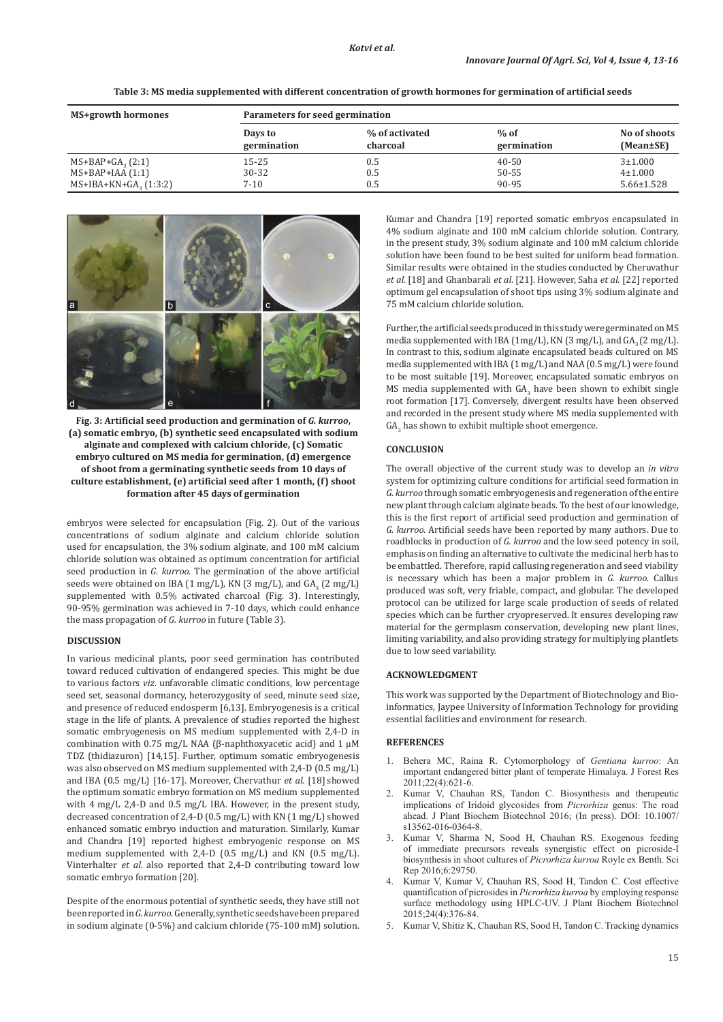| Table 3: MS media supplemented with different concentration of growth hormones for germination of artificial seeds |  |  |
|--------------------------------------------------------------------------------------------------------------------|--|--|
|                                                                                                                    |  |  |

| MS+growth hormones             | Parameters for seed germination |                            |                       |                           |  |  |
|--------------------------------|---------------------------------|----------------------------|-----------------------|---------------------------|--|--|
|                                | Days to<br>germination          | % of activated<br>charcoal | $%$ of<br>germination | No of shoots<br>(Mean±SE) |  |  |
| $MS+BAP+GA$ <sub>2</sub> (2:1) | 15-25                           | 0.5                        | $40 - 50$             | $3 + 1.000$               |  |  |
| $MS+BAP+IAA(1:1)$              | 30-32                           | 0.5                        | 50-55                 | $4\pm1.000$               |  |  |
| $MS+IBA+KN+GA, (1:3:2)$        | $7 - 10$                        | 0.5                        | 90-95                 | $5.66 \pm 1.528$          |  |  |



**Fig. 3: Artificial seed production and germination of** *G. kurroo***, (a) somatic embryo, (b) synthetic seed encapsulated with sodium alginate and complexed with calcium chloride, (c) Somatic embryo cultured on MS media for germination, (d) emergence of shoot from a germinating synthetic seeds from 10 days of culture establishment, (e) artificial seed after 1 month, (f) shoot formation after 45 days of germination**

embryos were selected for encapsulation (Fig. 2). Out of the various concentrations of sodium alginate and calcium chloride solution used for encapsulation, the 3% sodium alginate, and 100 mM calcium chloride solution was obtained as optimum concentration for artificial seed production in *G. kurroo*. The germination of the above artificial seeds were obtained on IBA (1 mg/L), KN (3 mg/L), and  $GA_3$  (2 mg/L) supplemented with 0.5% activated charcoal (Fig. 3). Interestingly, 90-95% germination was achieved in 7-10 days, which could enhance the mass propagation of *G. kurroo* in future (Table 3).

## **DISCUSSION**

In various medicinal plants, poor seed germination has contributed toward reduced cultivation of endangered species. This might be due to various factors *viz*. unfavorable climatic conditions, low percentage seed set, seasonal dormancy, heterozygosity of seed, minute seed size, and presence of reduced endosperm [6,13]. Embryogenesis is a critical stage in the life of plants. A prevalence of studies reported the highest somatic embryogenesis on MS medium supplemented with 2,4-D in combination with 0.75 mg/L NAA (β-naphthoxyacetic acid) and 1  $μ$ M TDZ (thidiazuron) [14,15]. Further, optimum somatic embryogenesis was also observed on MS medium supplemented with 2,4-D (0.5 mg/L) and IBA (0.5 mg/L) [16-17]. Moreover, Chervathur *et al*. [18] showed the optimum somatic embryo formation on MS medium supplemented with 4 mg/L 2,4-D and 0.5 mg/L IBA. However, in the present study, decreased concentration of 2,4-D (0.5 mg/L) with KN (1 mg/L) showed enhanced somatic embryo induction and maturation. Similarly, Kumar and Chandra [19] reported highest embryogenic response on MS medium supplemented with 2,4-D (0.5 mg/L) and KN (0.5 mg/L). Vinterhalter *et al*. also reported that 2,4-D contributing toward low somatic embryo formation [20].

Despite of the enormous potential of synthetic seeds, they have still not been reported in *G. kurroo*. Generally, synthetic seeds have been prepared in sodium alginate (0-5%) and calcium chloride (75-100 mM) solution. Kumar and Chandra [19] reported somatic embryos encapsulated in 4% sodium alginate and 100 mM calcium chloride solution. Contrary, in the present study, 3% sodium alginate and 100 mM calcium chloride solution have been found to be best suited for uniform bead formation. Similar results were obtained in the studies conducted by Cheruvathur *et al*. [18] and Ghanbarali *et al*. [21]. However, Saha *et al*. [22] reported optimum gel encapsulation of shoot tips using 3% sodium alginate and 75 mM calcium chloride solution.

Further, the artificial seeds produced in this study were germinated on MS media supplemented with IBA ( $1mg/L$ ), KN (3 mg/L), and GA<sub>3</sub> (2 mg/L). In contrast to this, sodium alginate encapsulated beads cultured on MS media supplemented with IBA (1 mg/L) and NAA (0.5 mg/L) were found to be most suitable [19]. Moreover, encapsulated somatic embryos on MS media supplemented with  $GA_3$  have been shown to exhibit single root formation [17]. Conversely, divergent results have been observed and recorded in the present study where MS media supplemented with  $GA_{3}$  has shown to exhibit multiple shoot emergence.

## **CONCLUSION**

The overall objective of the current study was to develop an *in vitro*  system for optimizing culture conditions for artificial seed formation in *G. kurroo* through somatic embryogenesis and regeneration of the entire new plant through calcium alginate beads. To the best of our knowledge, this is the first report of artificial seed production and germination of *G. kurroo*. Artificial seeds have been reported by many authors. Due to roadblocks in production of *G. kurroo* and the low seed potency in soil, emphasis on finding an alternative to cultivate the medicinal herb has to be embattled. Therefore, rapid callusing regeneration and seed viability is necessary which has been a major problem in *G. kurroo*. Callus produced was soft, very friable, compact, and globular. The developed protocol can be utilized for large scale production of seeds of related species which can be further cryopreserved. It ensures developing raw material for the germplasm conservation, developing new plant lines, limiting variability, and also providing strategy for multiplying plantlets due to low seed variability.

## **ACKNOWLEDGMENT**

This work was supported by the Department of Biotechnology and Bioinformatics, Jaypee University of Information Technology for providing essential facilities and environment for research.

## **REFERENCES**

- 1. Behera MC, Raina R. Cytomorphology of *Gentiana kurroo*: An important endangered bitter plant of temperate Himalaya. J Forest Res 2011;22(4):621-6.
- 2. Kumar V, Chauhan RS, Tandon C. Biosynthesis and therapeutic implications of Iridoid glycosides from *Picrorhiza* genus: The road ahead. J Plant Biochem Biotechnol 2016; (In press). DOI: 10.1007/ s13562-016-0364-8.
- 3. Kumar V, Sharma N, Sood H, Chauhan RS. Exogenous feeding of immediate precursors reveals synergistic effect on picroside-I biosynthesis in shoot cultures of *Picrorhiza kurroa* Royle ex Benth. Sci Rep 2016;6:29750.
- 4. Kumar V, Kumar V, Chauhan RS, Sood H, Tandon C. Cost effective quantification of picrosides in *Picrorhiza kurroa* by employing response surface methodology using HPLC-UV. J Plant Biochem Biotechnol 2015;24(4):376-84.
- 5. Kumar V, Shitiz K, Chauhan RS, Sood H, Tandon C. Tracking dynamics